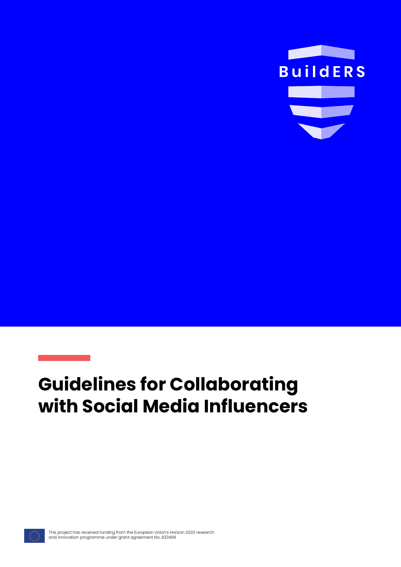

# **Guidelines for Collaborating with Social Media Influencers**

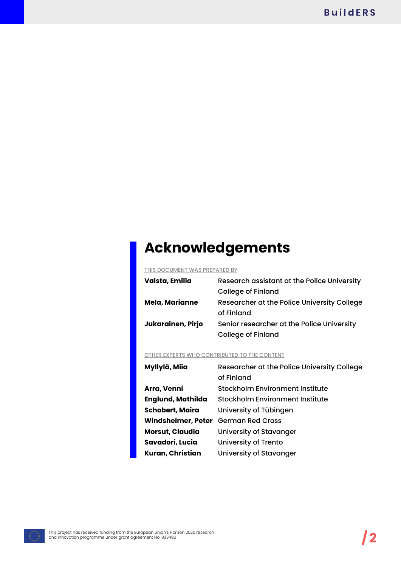# **Acknowledgements**

#### THIS DOCUMENT WAS PREPARED BY

| Valsta, Emilia    | Research assistant at the Police University |
|-------------------|---------------------------------------------|
|                   | <b>College of Finland</b>                   |
| Mela, Marianne    | Researcher at the Police University College |
|                   | of Finland                                  |
| Jukarainen, Pirjo | Senior researcher at the Police University  |
|                   | <b>College of Finland</b>                   |

#### OTHER EXPERTS WHO CONTRIBUTED TO THE CONTENT

| Myllylä, Miia            | Researcher at the Police University College |
|--------------------------|---------------------------------------------|
|                          | of Finland                                  |
| Arra, Venni              | Stockholm Environment Institute             |
| <b>Englund, Mathilda</b> | <b>Stockholm Environment Institute</b>      |
| <b>Schobert, Maira</b>   | University of Tübingen                      |
| Windsheimer, Peter       | <b>German Red Cross</b>                     |
| <b>Morsut, Claudia</b>   | University of Stavanger                     |
| Savadori, Lucia          | <b>University of Trento</b>                 |
| Kuran, Christian         | University of Stavanger                     |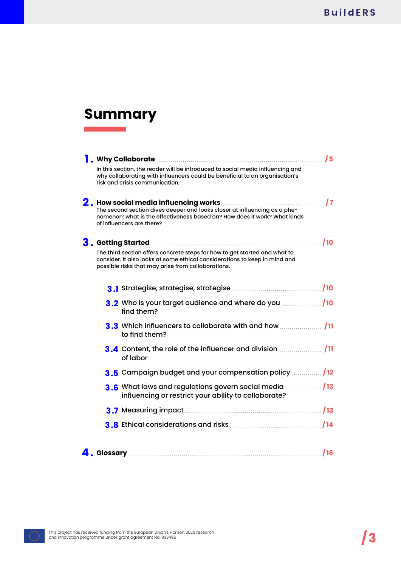# **Summary**

| <b>A</b> . Why Collaborate <b>constructs</b> and a set of the set of the set of the set of the set of the set of the set of the set of the set of the set of the set of the set of the set of the set of the set of the set of the set of | /5 |
|-------------------------------------------------------------------------------------------------------------------------------------------------------------------------------------------------------------------------------------------|----|
| In this section, the reader will be introduced to social media influencing and<br>why collaborating with influencers could be beneficial to an organisation's<br>risk and crisis communication.                                           |    |
| The second section dives deeper and looks closer at influencing as a phe-<br>nomenon: what is the effectiveness based on? How does it work? What kinds<br>of influencers are there?                                                       |    |
| 3. Getting Started <b>Manual Accord Contract Contract Contract Contract Contract Contract Contract Contract O</b>                                                                                                                         |    |
| The third section offers concrete steps for how to get started and what to<br>consider. It also looks at some ethical considerations to keep in mind and<br>possible risks that may arise from collaborations.                            |    |
|                                                                                                                                                                                                                                           |    |
| 3.2 Who is your target audience and where do you manuscript 10<br>find them?                                                                                                                                                              |    |
| to find them?                                                                                                                                                                                                                             |    |
| of labor                                                                                                                                                                                                                                  |    |
| 3.5 Campaign budget and your compensation policy  / 12                                                                                                                                                                                    |    |
| influencing or restrict your ability to collaborate?                                                                                                                                                                                      |    |
|                                                                                                                                                                                                                                           |    |
|                                                                                                                                                                                                                                           |    |
|                                                                                                                                                                                                                                           |    |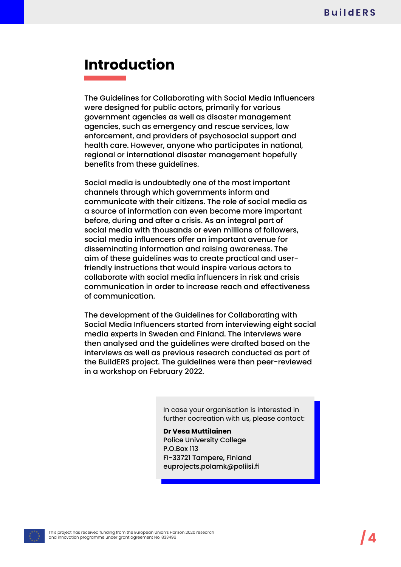# **Introduction**

The Guidelines for Collaborating with Social Media Influencers were designed for public actors, primarily for various government agencies as well as disaster management agencies, such as emergency and rescue services, law enforcement, and providers of psychosocial support and health care. However, anyone who participates in national, regional or international disaster management hopefully benefits from these guidelines.

Social media is undoubtedly one of the most important channels through which governments inform and communicate with their citizens. The role of social media as a source of information can even become more important before, during and after a crisis. As an integral part of social media with thousands or even millions of followers, social media influencers offer an important avenue for disseminating information and raising awareness. The aim of these guidelines was to create practical and userfriendly instructions that would inspire various actors to collaborate with social media influencers in risk and crisis communication in order to increase reach and effectiveness of communication.

The development of the Guidelines for Collaborating with Social Media Influencers started from interviewing eight social media experts in Sweden and Finland. The interviews were then analysed and the guidelines were drafted based on the interviews as well as previous research conducted as part of the BuildERS project. The guidelines were then peer-reviewed in a workshop on February 2022.

> In case your organisation is interested in further cocreation with us, please contact:

**Dr Vesa Muttilainen** Police University College P.O.Box 113 FI-33721 Tampere, Finland euprojects.polamk@poliisi.fi

This project has received funding from the European Union's Horizon 2020 research and innovation programme under grant agreement No. 833496 **/4**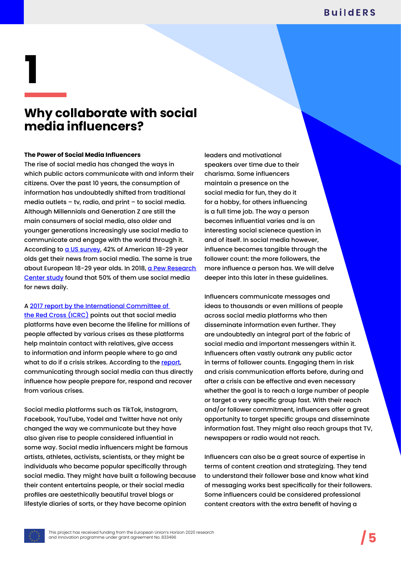## **Why collaborate with social media influencers?**

#### **The Power of Social Media Influencers**

The rise of social media has changed the ways in which public actors communicate with and inform their citizens. Over the past 10 years, the consumption of information has undoubtedly shifted from traditional media outlets – tv, radio, and print – to social media. Although Millennials and Generation Z are still the main consumers of social media, also older and younger generations increasingly use social media to communicate and engage with the world through it. According to [a US survey,](https://www.pewresearch.org/fact-tank/2021/01/12/more-than-eight-in-ten-americans-get-news-from-digital-devices/) 42% of American 18-29 year olds get their news from social media. The same is true about European 18-29 year olds. In 2018, a Pew Research [Center study](https://www.pewresearch.org/journalism/2018/10/30/younger-europeans-are-far-more-likely-to-get-news-from-social-media/) found that 50% of them use social media for news daily.

### A [2017 report by the International Committee of](https://www.icrc.org/en/document/social-media-to-engage-with-affected-people)

[the Red Cross \(ICRC\)](https://www.icrc.org/en/document/social-media-to-engage-with-affected-people) points out that social media platforms have even become the lifeline for millions of people affected by various crises as these platforms help maintain contact with relatives, give access to information and inform people where to go and what to do if a crisis strikes. According to the [report](https://www.icrc.org/en/document/social-media-to-engage-with-affected-people), communicating through social media can thus directly influence how people prepare for, respond and recover from various crises.

Social media platforms such as TikTok, Instagram, Facebook, YouTube, Yodel and Twitter have not only changed the way we communicate but they have also given rise to people considered influential in some way. Social media influencers might be famous artists, athletes, activists, scientists, or they might be individuals who became popular specifically through social media. They might have built a following because their content entertains people, or their social media profiles are aestethically beautiful travel blogs or lifestyle diaries of sorts, or they have become opinion

leaders and motivational speakers over time due to their charisma. Some influencers maintain a presence on the social media for fun, they do it for a hobby, for others influencing is a full time job. The way a person becomes influential varies and is an interesting social scienece question in and of itself. In social media however, influence becomes tangible through the follower count: the more followers, the more influence a person has. We will delve deeper into this later in these guidelines.

Influencers communicate messages and ideas to thousands or even millions of people across social media platforms who then disseminate information even further. They are undoubtedly an integral part of the fabric of social media and important messengers within it. Influencers often vastly outrank any public actor in terms of follower counts. Engaging them in risk and crisis communication efforts before, during and after a crisis can be effective and even necessary whether the goal is to reach a large number of people or target a very specific group fast. With their reach and/or follower commitment, influencers offer a great opportunity to target specific groups and disseminate information fast. They might also reach groups that TV, newspapers or radio would not reach.

Influencers can also be a great source of expertise in terms of content creation and strategizing. They tend to understand their follower base and know what kind of messaging works best specifically for their followers. Some influencers could be considered professional content creators with the extra benefit of having a

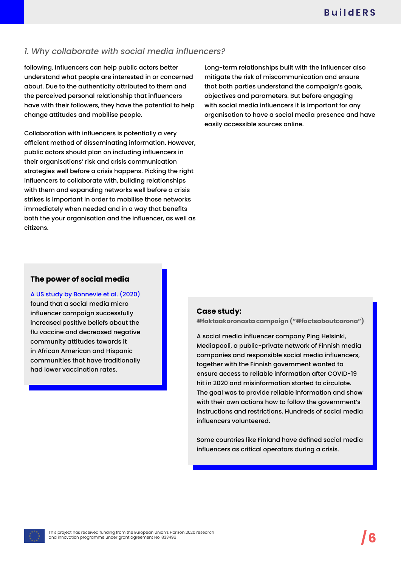## *1. Why collaborate with social media influencers?*

following. Influencers can help public actors better understand what people are interested in or concerned about. Due to the authenticity attributed to them and the perceived personal relationship that influencers have with their followers, they have the potential to help change attitudes and mobilise people.

Collaboration with influencers is potentially a very efficient method of disseminating information. However, public actors should plan on including influencers in their organisations' risk and crisis communication strategies well before a crisis happens. Picking the right influencers to collaborate with, building relationships with them and expanding networks well before a crisis strikes is important in order to mobilise those networks immediately when needed and in a way that benefits both the your organisation and the influencer, as well as citizens.

Long-term relationships built with the influencer also mitigate the risk of miscommunication and ensure that both parties understand the campaign's goals, objectives and parameters. But before engaging with social media influencers it is important for any organisation to have a social media presence and have easily accessible sources online.

## **The power of social media**

[A US study by Bonnevie et al. \(2020\)](https://journals.plos.org/plosone/article?id=10.1371/journal.pone.0240828) found that a social media micro influencer campaign successfully increased positive beliefs about the flu vaccine and decreased negative community attitudes towards it in African American and Hispanic communities that have traditionally had lower vaccination rates.

#### **Case study:**

**#faktaakoronasta campaign ("#factsaboutcorona")**

A social media influencer company Ping Helsinki, Mediapooli, a public-private network of Finnish media companies and responsible social media influencers, together with the Finnish government wanted to ensure access to reliable information after COVID-19 hit in 2020 and misinformation started to circulate. The goal was to provide reliable information and show with their own actions how to follow the government's instructions and restrictions. Hundreds of social media influencers volunteered.

Some countries like Finland have defined social media influencers as critical operators during a crisis.

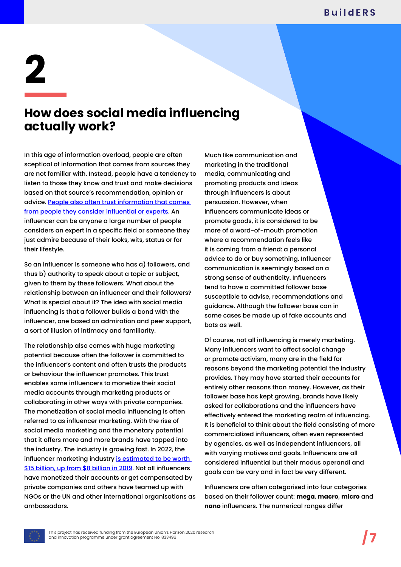## **How does social media influencing actually work?**

In this age of information overload, people are often sceptical of information that comes from sources they are not familiar with. Instead, people have a tendency to listen to those they know and trust and make decisions based on that source's recommendation, opinion or advice. [People also often trust information that comes](https://entrepreneurship.babson.edu/what-is-influencer-marketing/)  [from people they consider influential or experts](https://entrepreneurship.babson.edu/what-is-influencer-marketing/). An influencer can be anyone a large number of people considers an expert in a specific field or someone they just admire because of their looks, wits, status or for their lifestyle.

So an influencer is someone who has a) followers, and thus b) authority to speak about a topic or subject, given to them by these followers. What about the relationship between an influencer and their followers? What is special about it? The idea with social media influencing is that a follower builds a bond with the influencer, one based on admiration and peer support, a sort of illusion of intimacy and familiarity.

The relationship also comes with huge marketing potential because often the follower is committed to the influencer's content and often trusts the products or behaviour the influencer promotes. This trust enables some influencers to monetize their social media accounts through marketing products or collaborating in other ways with private companies. The monetization of social media influencing is often referred to as influencer marketing. With the rise of social media marketing and the monetary potential that it offers more and more brands have tapped into the industry. The industry is growing fast. In 2022, the influencer marketing industry is estimated to be worth [\\$15 billion, up from \\$8 billion in 2019](https://www.insiderintelligence.com/insights/influencer-marketing-report/). Not all influencers have monetized their accounts or get compensated by private companies and others have teamed up with NGOs or the UN and other international organisations as ambassadors.

Much like communication and marketing in the traditional media, communicating and promoting products and ideas through influencers is about persuasion. However, when influencers communicate ideas or promote goods, it is considered to be more of a word-of-mouth promotion where a recommendation feels like it is coming from a friend: a personal advice to do or buy something. Influencer communication is seemingly based on a strong sense of authenticity. Influencers tend to have a committed follower base susceptible to advise, recommendations and guidance. Although the follower base can in some cases be made up of fake accounts and bots as well.

Of course, not all influencing is merely marketing. Many influencers want to affect social change or promote activism, many are in the field for reasons beyond the marketing potential the industry provides. They may have started their accounts for entirely other reasons than money. However, as their follower base has kept growing, brands have likely asked for collaborations and the influencers have effectively entered the marketing realm of influencing. It is beneficial to think about the field consisting of more commercialized influencers, often even represented by agencies, as well as independent influencers, all with varying motives and goals. Influencers are all considered influential but their modus operandi and goals can be vary and in fact be very different.

Influencers are often categorised into four categories based on their follower count: **mega**, **macro**, **micro** and **nano** influencers. The numerical ranges differ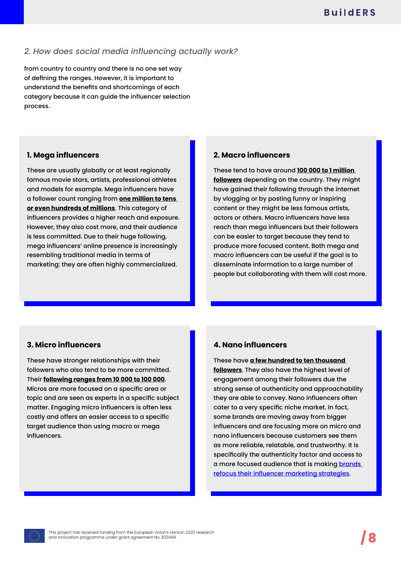## *2. How does social media influencing actually work?*

from country to country and there is no one set way of defining the ranges. However, it is important to understand the benefits and shortcomings of each category because it can guide the influencer selection process.

### **1. Mega influencers**

These are usually globally or at least regionally famous movie stars, artists, professional athletes and models for example. Mega influencers have a follower count ranging from **one million to tens or even hundreds of millions**. This category of influencers provides a higher reach and exposure. However, they also cost more, and their audience is less committed. Due to their huge following, mega influencers' online presence is increasingly resembling traditional media in terms of marketing: they are often highly commercialized.

## **2. Macro influencers**

These tend to have around **100 000 to 1 million followers** depending on the country. They might have gained their following through the internet by vlogging or by posting funny or inspiring content or they might be less famous artists, actors or others. Macro influencers have less reach than mega influencers but their followers can be easier to target because they tend to produce more focused content. Both mega and macro influencers can be useful if the goal is to disseminate information to a large number of people but collaborating with them will cost more.

## **3. Micro influencers**

These have stronger relationships with their followers who also tend to be more committed. Their **following ranges from 10 000 to 100 000**. Micros are more focused on a specific area or topic and are seen as experts in a specific subject matter. Engaging micro influencers is often less costly and offers an easier access to a specific target audience than using macro or mega influencers.

## **4. Nano influencers**

These have **a few hundred to ten thousand followers**. They also have the highest level of engagement among their followers due the strong sense of authenticity and approachability they are able to convey. Nano influencers often cater to a very specific niche market. In fact, some brands are moving away from bigger influencers and are focusing more on micro and nano influencers because customers see them as more reliable, relatable, and trustworthy. It is specifically the authenticity factor and access to a more focused audience that is making [brands](https://www.businessinsider.com/brands-turning-to-micro-influencers-instead-of-instagram-stars-2019-4?r=US&IR=T)  [refocus their influencer marketing strategies](https://www.businessinsider.com/brands-turning-to-micro-influencers-instead-of-instagram-stars-2019-4?r=US&IR=T).

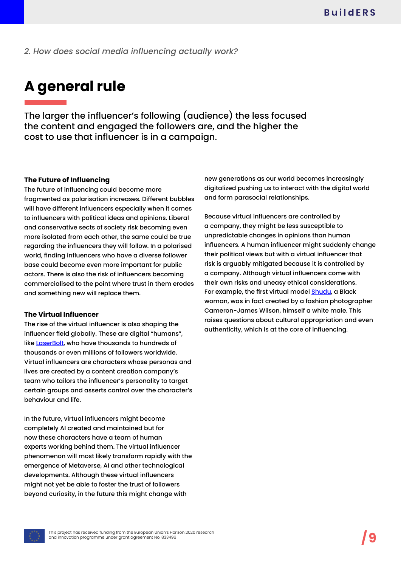*2. How does social media influencing actually work?*

## **A general rule**

The larger the influencer's following (audience) the less focused the content and engaged the followers are, and the higher the cost to use that influencer is in a campaign.

#### **The Future of Influencing**

The future of influencing could become more fragmented as polarisation increases. Different bubbles will have different influencers especially when it comes to influencers with political ideas and opinions. Liberal and conservative sects of society risk becoming even more isolated from each other, the same could be true regarding the influencers they will follow. In a polarised world, finding influencers who have a diverse follower base could become even more important for public actors. There is also the risk of influencers becoming commercialised to the point where trust in them erodes and something new will replace them.

#### **The Virtual Influencer**

The rise of the virtual influencer is also shaping the influencer field globally. These are digital "humans", like [LaserBolt,](https://www.youtube.com/channel/UC5kbCDveYQUcxoOll5NKocA?app=desktop&cbrd=1) who have thousands to hundreds of thousands or even millions of followers worldwide. Virtual influencers are characters whose personas and lives are created by a content creation company's team who tailors the influencer's personality to target certain groups and asserts control over the character's behaviour and life.

In the future, virtual influencers might become completely AI created and maintained but for now these characters have a team of human experts working behind them. The virtual influencer phenomenon will most likely transform rapidly with the emergence of Metaverse, AI and other technological developments. Although these virtual influencers might not yet be able to foster the trust of followers beyond curiosity, in the future this might change with

new generations as our world becomes increasingly digitalized pushing us to interact with the digital world and form parasocial relationships.

Because virtual influencers are controlled by a company, they might be less susceptible to unpredictable changes in opinions than human influencers. A human influencer might suddenly change their political views but with a virtual influencer that risk is arguably mitigated because it is controlled by a company. Although virtual influencers come with their own risks and uneasy ethical considerations. For example, the first virtual model [Shudu,](https://www.instagram.com/shudu.gram/) a Black woman, was in fact created by a fashion photographer Cameron-James Wilson, himself a white male. This raises questions about cultural appropriation and even authenticity, which is at the core of influencing.



This project has received funding from the European Union's Horizon 2020 research and innovation programme under grant agreement No. 833496 **/9**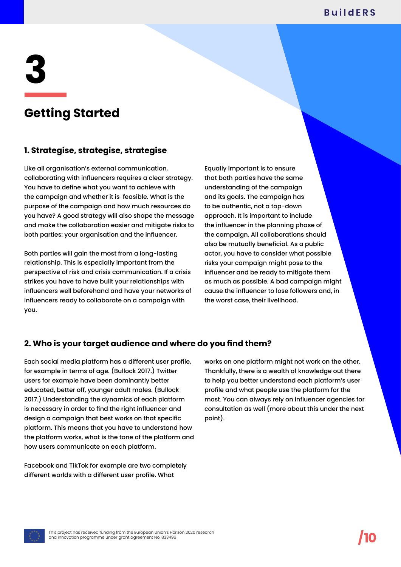## **Getting Started**

## **1. Strategise, strategise, strategise**

Like all organisation's external communication, collaborating with influencers requires a clear strategy. You have to define what you want to achieve with the campaign and whether it is feasible. What is the purpose of the campaign and how much resources do you have? A good strategy will also shape the message and make the collaboration easier and mitigate risks to both parties: your organisation and the influencer.

Both parties will gain the most from a long-lasting relationship. This is especially important from the perspective of risk and crisis communication. If a crisis strikes you have to have built your relationships with influencers well beforehand and have your networks of influencers ready to collaborate on a campaign with you.

Equally important is to ensure that both parties have the same understanding of the campaign and its goals. The campaign has to be authentic, not a top-down approach. It is important to include the influencer in the planning phase of the campaign. All collaborations should also be mutually beneficial. As a public actor, you have to consider what possible risks your campaign might pose to the influencer and be ready to mitigate them as much as possible. A bad campaign might cause the influencer to lose followers and, in the worst case, their livelihood.

## **2. Who is your target audience and where do you find them?**

Each social media platform has a different user profile, for example in terms of age. (Bullock 2017.) Twitter users for example have been dominantly better educated, better off, younger adult males. (Bullock 2017.) Understanding the dynamics of each platform is necessary in order to find the right influencer and design a campaign that best works on that specific platform. This means that you have to understand how the platform works, what is the tone of the platform and how users communicate on each platform.

Facebook and TikTok for example are two completely different worlds with a different user profile. What

works on one platform might not work on the other. Thankfully, there is a wealth of knowledge out there to help you better understand each platform's user profile and what people use the platform for the most. You can always rely on influencer agencies for consultation as well (more about this under the next point).

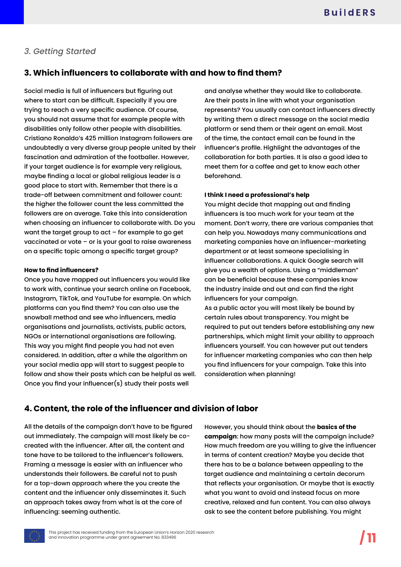## **3. Which influencers to collaborate with and how to find them?**

Social media is full of influencers but figuring out where to start can be difficult. Especially if you are trying to reach a very specific audience. Of course, you should not assume that for example people with disabilities only follow other people with disabilities. Cristiano Ronaldo's 425 million Instagram followers are undoubtedly a very diverse group people united by their fascination and admiration of the footballer. However, if your target audience is for example very religious, maybe finding a local or global religious leader is a good place to start with. Remember that there is a trade-off between commitment and follower count: the higher the follower count the less committed the followers are on average. Take this into consideration when choosing an influencer to collaborate with. Do you want the target group to act – for example to go get vaccinated or vote – or is your goal to raise awareness on a specific topic among a specific target group?

#### **How to find influencers?**

Once you have mapped out influencers you would like to work with, continue your search online on Facebook, Instagram, TikTok, and YouTube for example. On which platforms can you find them? You can also use the snowball method and see who influencers, media organisations and journalists, activists, public actors, NGOs or international organisations are following. This way you might find people you had not even considered. In addition, after a while the algorithm on your social media app will start to suggest people to follow and show their posts which can be helpful as well. Once you find your influencer(s) study their posts well

and analyse whether they would like to collaborate. Are their posts in line with what your organisation represents? You usually can contact influencers directly by writing them a direct message on the social media platform or send them or their agent an email. Most of the time, the contact email can be found in the influencer's profile. Highlight the advantages of the collaboration for both parties. It is also a good idea to meet them for a coffee and get to know each other beforehand.

#### **I think I need a professional's help**

You might decide that mapping out and finding influencers is too much work for your team at the moment. Don't worry, there are various companies that can help you. Nowadays many communications and marketing companies have an influencer-marketing department or at least someone specialising in influencer collaborations. A quick Google search will give you a wealth of options. Using a "middleman" can be beneficial because these companies know the industry inside and out and can find the right influencers for your campaign.

As a public actor you will most likely be bound by certain rules about transparency. You might be required to put out tenders before establishing any new partnerships, which might limit your ability to approach influencers yourself. You can however put out tenders for influencer marketing companies who can then help you find influencers for your campaign. Take this into consideration when planning!

## **4. Content, the role of the influencer and division of labor**

All the details of the campaign don't have to be figured out immediately. The campaign will most likely be cocreated with the influencer. After all, the content and tone have to be tailored to the influencer's followers. Framing a message is easier with an influencer who understands their followers. Be careful not to push for a top-down approach where the you create the content and the influencer only disseminates it. Such an approach takes away from what is at the core of influencing: seeming authentic.

However, you should think about the **basics of the campaign**: how many posts will the campaign include? How much freedom are you willing to give the influencer in terms of content creation? Maybe you decide that there has to be a balance between appealing to the target audience and maintaining a certain decorum that reflects your organisation. Or maybe that is exactly what you want to avoid and instead focus on more creative, relaxed and fun content. You can also always ask to see the content before publishing. You might

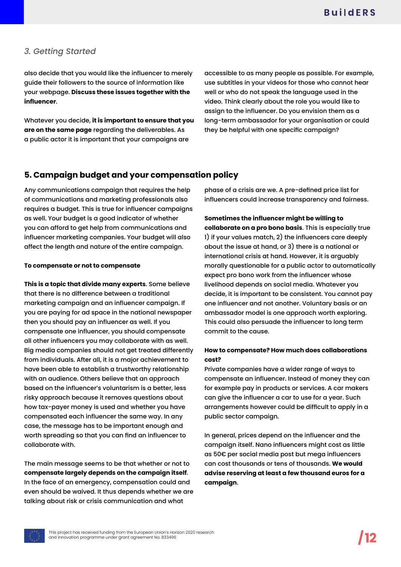also decide that you would like the influencer to merely guide their followers to the source of information like your webpage. **Discuss these issues together with the influencer**.

Whatever you decide, **it is important to ensure that you are on the same page** regarding the deliverables. As a public actor it is important that your campaigns are

accessible to as many people as possible. For example, use subtitles in your videos for those who cannot hear well or who do not speak the language used in the video. Think clearly about the role you would like to assign to the influencer. Do you envision them as a long-term ambassador for your organisation or could they be helpful with one specific campaign?

## **5. Campaign budget and your compensation policy**

Any communications campaign that requires the help of communications and marketing professionals also requires a budget. This is true for influencer campaigns as well. Your budget is a good indicator of whether you can afford to get help from communications and influencer marketing companies. Your budget will also affect the length and nature of the entire campaign.

### **To compensate or not to compensate**

**This is a topic that divide many experts**. Some believe that there is no difference between a traditional marketing campaign and an influencer campaign. If you are paying for ad space in the national newspaper then you should pay an influencer as well. If you compensate one influencer, you should compensate all other influencers you may collaborate with as well. Big media companies should not get treated differently from individuals. After all, it is a major achievement to have been able to establish a trustworthy relationship with an audience. Others believe that an approach based on the influencer's voluntarism is a better, less risky approach because it removes questions about how tax-payer money is used and whether you have compensated each influencer the same way. In any case, the message has to be important enough and worth spreading so that you can find an influencer to collaborate with.

The main message seems to be that whether or not to **compensate largely depends on the campaign itself**. In the face of an emergency, compensation could and even should be waived. It thus depends whether we are talking about risk or crisis communication and what

phase of a crisis are we. A pre-defined price list for influencers could increase transparency and fairness.

**Sometimes the influencer might be willing to collaborate on a pro bono basis**. This is especially true 1) if your values match, 2) the influencers care deeply about the issue at hand, or 3) there is a national or international crisis at hand. However, it is arguably morally questionable for a public actor to automatically expect pro bono work from the influencer whose livelihood depends on social media. Whatever you decide, it is important to be consistent. You cannot pay one influencer and not another. Voluntary basis or an ambassador model is one approach worth exploring. This could also persuade the influencer to long term commit to the cause.

## **How to compensate? How much does collaborations cost?**

Private companies have a wider range of ways to compensate an influencer. Instead of money they can for example pay in products or services. A car makers can give the influencer a car to use for a year. Such arrangements however could be difficult to apply in a public sector campaign.

In general, prices depend on the influencer and the campaign itself. Nano influencers might cost as little as 50€ per social media post but mega influencers can cost thousands or tens of thousands. **We would advise reserving at least a few thousand euros for a campaign**.

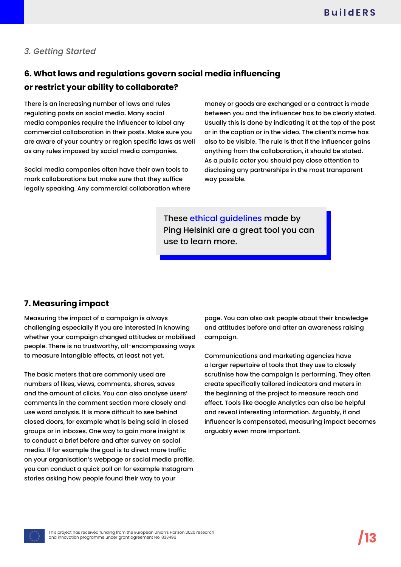## **6. What laws and regulations govern social media influencing or restrict your ability to collaborate?**

There is an increasing number of laws and rules regulating posts on social media. Many social media companies require the influencer to label any commercial collaboration in their posts. Make sure you are aware of your country or region specific laws as well as any rules imposed by social media companies.

Social media companies often have their own tools to mark collaborations but make sure that they suffice legally speaking. Any commercial collaboration where money or goods are exchanged or a contract is made between you and the influencer has to be clearly stated. Usually this is done by indicating it at the top of the post or in the caption or in the video. The client's name has also to be visible. The rule is that if the influencer gains anything from the collaboration, it should be stated. As a public actor you should pay close attention to disclosing any partnerships in the most transparent way possible.

These [ethical guidelines](http://pingethics.fi/en/) made by Ping Helsinki are a great tool you can use to learn more.

## **7. Measuring impact**

Measuring the impact of a campaign is always challenging especially if you are interested in knowing whether your campaign changed attitudes or mobilised people. There is no trustworthy, all-encompassing ways to measure intangible effects, at least not yet.

The basic meters that are commonly used are numbers of likes, views, comments, shares, saves and the amount of clicks. You can also analyse users' comments in the comment section more closely and use word analysis. It is more difficult to see behind closed doors, for example what is being said in closed groups or in inboxes. One way to gain more insight is to conduct a brief before and after survey on social media. If for example the goal is to direct more traffic on your organisation's webpage or social media profile, you can conduct a quick poll on for example Instagram stories asking how people found their way to your

page. You can also ask people about their knowledge and attitudes before and after an awareness raising campaign.

Communications and marketing agencies have a larger repertoire of tools that they use to closely scrutinise how the campaign is performing. They often create specifically tailored indicators and meters in the beginning of the project to measure reach and effect. Tools like Google Analytics can also be helpful and reveal interesting information. Arguably, if and influencer is compensated, measuring impact becomes arguably even more important.

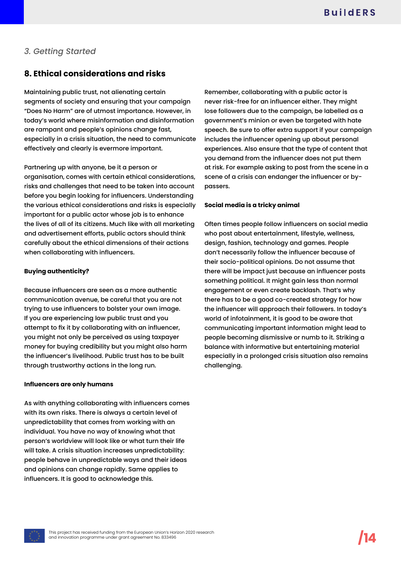## **8. Ethical considerations and risks**

Maintaining public trust, not alienating certain segments of society and ensuring that your campaign "Does No Harm" are of utmost importance. However, in today's world where misinformation and disinformation are rampant and people's opinions change fast, especially in a crisis situation, the need to communicate effectively and clearly is evermore important.

Partnering up with anyone, be it a person or organisation, comes with certain ethical considerations, risks and challenges that need to be taken into account before you begin looking for influencers. Understanding the various ethical considerations and risks is especially important for a public actor whose job is to enhance the lives of all of its citizens. Much like with all marketing and advertisement efforts, public actors should think carefully about the ethical dimensions of their actions when collaborating with influencers.

#### **Buying authenticity?**

Because influencers are seen as a more authentic communication avenue, be careful that you are not trying to use influencers to bolster your own image. If you are experiencing low public trust and you attempt to fix it by collaborating with an influencer, you might not only be perceived as using taxpayer money for buying credibility but you might also harm the influencer's livelihood. Public trust has to be built through trustworthy actions in the long run.

#### **Influencers are only humans**

As with anything collaborating with influencers comes with its own risks. There is always a certain level of unpredictability that comes from working with an individual. You have no way of knowing what that person's worldview will look like or what turn their life will take. A crisis situation increases unpredictability: people behave in unpredictable ways and their ideas and opinions can change rapidly. Same applies to influencers. It is good to acknowledge this.

Remember, collaborating with a public actor is never risk-free for an influencer either. They might lose followers due to the campaign, be labelled as a government's minion or even be targeted with hate speech. Be sure to offer extra support if your campaign includes the influencer opening up about personal experiences. Also ensure that the type of content that you demand from the influencer does not put them at risk. For example asking to post from the scene in a scene of a crisis can endanger the influencer or bypassers.

### **Social media is a tricky animal**

Often times people follow influencers on social media who post about entertainment, lifestyle, wellness, design, fashion, technology and games. People don't necessarily follow the influencer because of their socio-political opinions. Do not assume that there will be impact just because an influencer posts something political. It might gain less than normal engagement or even create backlash. That's why there has to be a good co-created strategy for how the influencer will approach their followers. In today's world of infotainment, it is good to be aware that communicating important information might lead to people becoming dismissive or numb to it. Striking a balance with informative but entertaining material especially in a prolonged crisis situation also remains challenging.

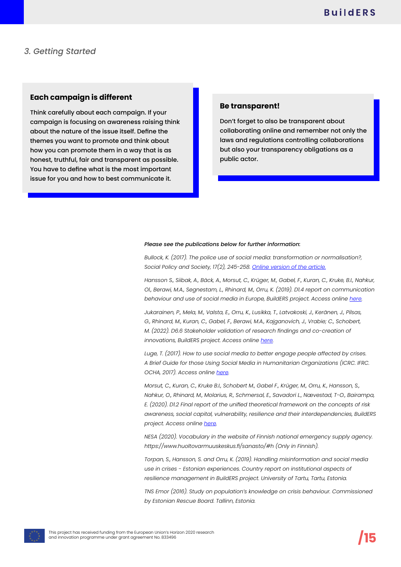### **Each campaign is different**

Think carefully about each campaign. If your campaign is focusing on awareness raising think about the nature of the issue itself. Define the themes you want to promote and think about how you can promote them in a way that is as honest, truthful, fair and transparent as possible. You have to define what is the most important issue for you and how to best communicate it.

### **Be transparent!**

Don't forget to also be transparent about collaborating online and remember not only the laws and regulations controlling collaborations but also your transparency obligations as a public actor.

#### *Please see the publications below for further information:*

*Bullock, K. (2017). The police use of social media: transformation or normalisation?, Social Policy and Society, 17(2), 245-258. [Online version of the article.](https://www.cambridge.org/core/journals/social-policy-and-society/article/police-use-of-social-media-transformation-or-normalisation/19E5C6727038F01129B51CE4287D0FFB)*

*Hansson S., Siibak, A., Bäck, A., Morsut, C., Krüger, M., Gabel, F., Kuran, C., Kruke, B.I., Nahkur, Ol., Berawi, M.A., Segnestam, L., Rhinard, M., Orru, K. (2019). D1.4 report on communication behaviour and use of social media in Europe, BuildERS project. Access online [here.](https://buildersproject.eu/assets/content/D1.4%20Report%20on%20communication%20behaviour%20and%20use%20of%20social%20media%20in%20Europe.pdf)*

*Jukarainen, P., Mela, M., Valsta, E., Orru, K., Lusikka, T., Latvakoski, J., Keränen, J., Pilsas, G., Rhinard, M., Kuran, C., Gabel, F., Berawi, M.A., Kajganovich, J., Vrabie; C., Schobert, M. (2022). D6.6 Stakeholder validation of research findings and co-creation of innovations, BuildERS project. Access online [here](https://buildersproject.eu/assets/content/d6.6.pdf).*

*Luge, T. (2017). How to use social media to better engage people affected by crises. A Brief Guide for those Using Social Media in Humanitarian Organizations (ICRC. IFRC. OCHA, 2017). Access online [here](https://oldmedia.ifrc.org/ifrc/wp-content/uploads/2017/10/ICRC_IFRC_OCHA_SoMe_Guide_CommIsAid_2017-WEB.pdf).*

*Morsut, C., Kuran, C., Kruke B.I., Schobert M., Gabel F., Krüger, M., Orru, K., Hansson, S., Nahkur, O., Rhinard, M., Molarius, R., Schmersal, E., Savadori L., Nævestad, T-O., Bairampa, E. (2020). D1.2 Final report of the unified theoretical framework on the concepts of risk awareness, social capital, vulnerability, resilience and their interdependencies, BuildERS project. Access online [here.](https://buildersproject.eu/assets/content/BuildERS_D1.2.pdf)*

*NESA (2020). Vocabulary in the website of Finnish national emergency supply agency. https://www.huoltovarmuuskeskus.fi/sanasto/#h (Only in Finnish).*

*Torpan, S., Hansson, S. and Orru, K. (2019). Handling misinformation and social media use in crises - Estonian experiences. Country report on institutional aspects of resilience management in BuildERS project. University of Tartu, Tartu, Estonia.*

*TNS Emor (2016). Study on population's knowledge on crisis behaviour. Commissioned by Estonian Rescue Board. Tallinn, Estonia.*